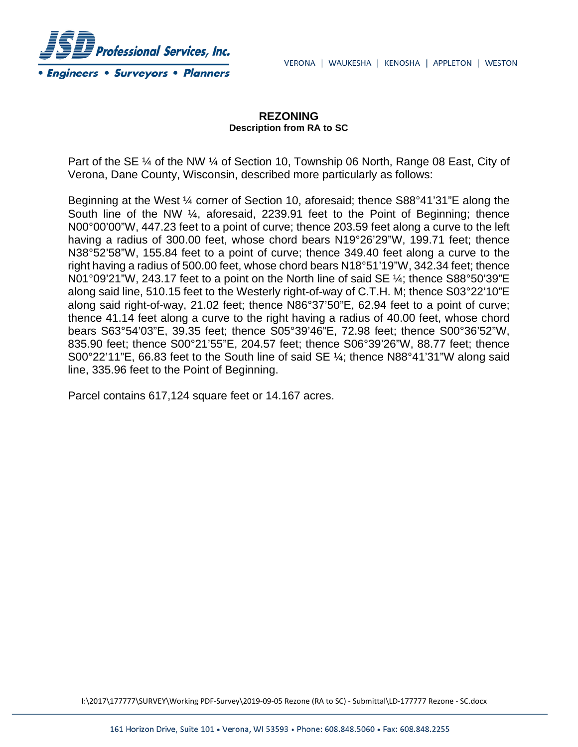

## **REZONING Description from RA to SC**

Part of the SE ¼ of the NW ¼ of Section 10, Township 06 North, Range 08 East, City of Verona, Dane County, Wisconsin, described more particularly as follows:

Beginning at the West ¼ corner of Section 10, aforesaid; thence S88°41'31"E along the South line of the NW ¼, aforesaid, 2239.91 feet to the Point of Beginning; thence N00°00'00"W, 447.23 feet to a point of curve; thence 203.59 feet along a curve to the left having a radius of 300.00 feet, whose chord bears N19°26'29"W, 199.71 feet; thence N38°52'58"W, 155.84 feet to a point of curve; thence 349.40 feet along a curve to the right having a radius of 500.00 feet, whose chord bears N18°51'19"W, 342.34 feet; thence N01°09'21"W, 243.17 feet to a point on the North line of said SE ¼; thence S88°50'39"E along said line, 510.15 feet to the Westerly right-of-way of C.T.H. M; thence S03°22'10"E along said right-of-way, 21.02 feet; thence N86°37'50"E, 62.94 feet to a point of curve; thence 41.14 feet along a curve to the right having a radius of 40.00 feet, whose chord bears S63°54'03"E, 39.35 feet; thence S05°39'46"E, 72.98 feet; thence S00°36'52"W, 835.90 feet; thence S00°21'55"E, 204.57 feet; thence S06°39'26"W, 88.77 feet; thence S00°22'11"E, 66.83 feet to the South line of said SE ¼; thence N88°41'31"W along said line, 335.96 feet to the Point of Beginning.

Parcel contains 617,124 square feet or 14.167 acres.

I:\2017\177777\SURVEY\Working PDF-Survey\2019-09-05 Rezone (RA to SC) - Submittal\LD-177777 Rezone - SC.docx